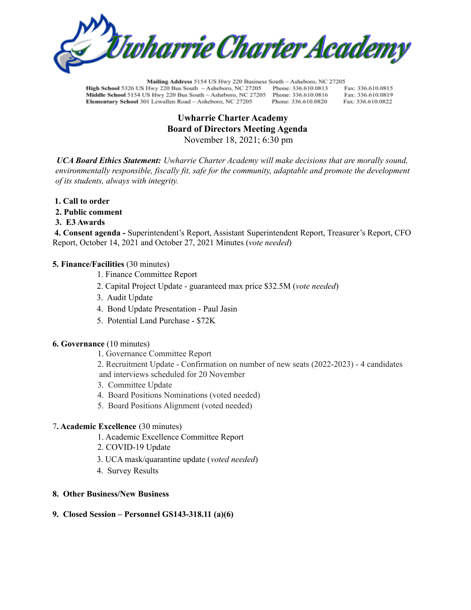

Mailing Address 5154 US Hwy 220 Business South - Asheboro, NC 27205 High School 5326 US Hwy 220 Bus South ~ Asheboro, NC 27205 Phone: 336.610.0813 Fax: 336,610,0815 Middle School 5154 US Hwy 220 Bus South ~ Asheboro, NC 27205 Phone: 336.610.0816 Fax: 336.610.0819 Elementary School 301 Lewallen Road ~ Asheboro, NC 27205 Phone: 336.610.0820 Fax: 336.610.0822

# **Uwharrie Charter Academy Board of Directors Meeting Agenda**

November 18, 2021; 6:30 pm

*UCA Board Ethics Statement: Uwharrie Charter Academy will make decisions that are morally sound, environmentally responsible, fiscally fit, safe for the community, adaptable and promote the development of its students, always with integrity.*

- **1. Call to order**
- **2. Public comment**
- **3. E3 Awards**

**4. Consent agenda -** Superintendent's Report, Assistant Superintendent Report, Treasurer's Report, CFO Report, October 14, 2021 and October 27, 2021 Minutes (*vote needed*)

### **5. Finance/Facilities** (30 minutes)

- 1. Finance Committee Report
- 2. Capital Project Update guaranteed max price \$32.5M (*vote needed*)
- 3. Audit Update
- 4. Bond Update Presentation Paul Jasin
- 5. Potential Land Purchase \$72K
- **6. Governance** (10 minutes)
	- 1. Governance Committee Report

2. Recruitment Update - Confirmation on number of new seats (2022-2023) - 4 candidates and interviews scheduled for 20 November

- 3. Committee Update
- 4. Board Positions Nominations (voted needed)
- 5. Board Positions Alignment (voted needed)

#### 7**. Academic Excellence** (30 minutes)

- 1. Academic Excellence Committee Report
- 2. COVID-19 Update
- 3. UCA mask/quarantine update (*voted needed*)
- 4. Survey Results

#### **8. Other Business/New Business**

#### **9. Closed Session – Personnel GS143-318.11 (a)(6)**